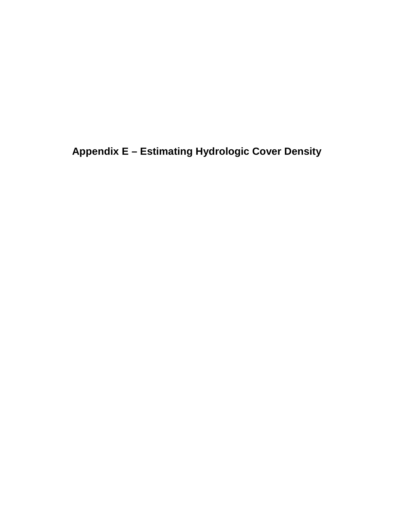**Appendix E – Estimating Hydrologic Cover Density**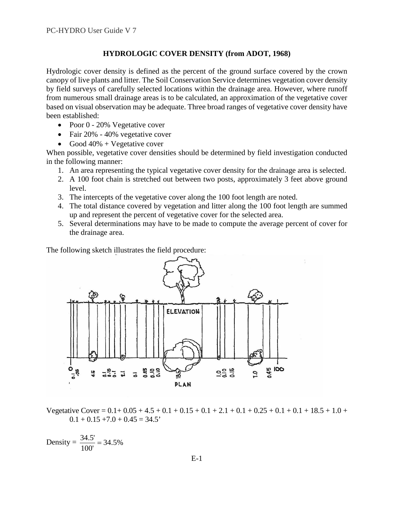## **HYDROLOGIC COVER DENSITY (from ADOT, 1968)**

Hydrologic cover density is defined as the percent of the ground surface covered by the crown canopy of live plants and litter. The Soil Conservation Service determines vegetation cover density by field surveys of carefully selected locations within the drainage area. However, where runoff from numerous small drainage areas is to be calculated, an approximation of the vegetative cover based on visual observation may be adequate. Three broad ranges of vegetative cover density have been established:

- Poor 0 20% Vegetative cover
- Fair 20% 40% vegetative cover
- Good  $40\%$  + Vegetative cover

When possible, vegetative cover densities should be determined by field investigation conducted in the following manner:

- 1. An area representing the typical vegetative cover density for the drainage area is selected.
- 2. A 100 foot chain is stretched out between two posts, approximately 3 feet above ground level.
- 3. The intercepts of the vegetative cover along the 100 foot length are noted.
- 4. The total distance covered by vegetation and litter along the 100 foot length are summed up and represent the percent of vegetative cover for the selected area.
- 5. Several determinations may have to be made to compute the average percent of cover for the drainage area.

The following sketch illustrates the field procedure:



Vegetative Cover =  $0.1+0.05+4.5+0.1+0.15+0.1+2.1+0.1+0.25+0.1+0.1+18.5+1.0+$  $0.1 + 0.15 + 7.0 + 0.45 = 34.5'$ 

Density = 
$$
\frac{34.5'}{100'}
$$
 = 34.5%